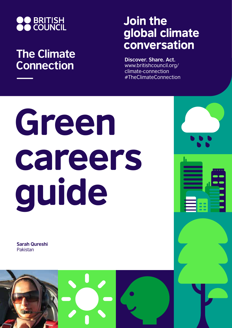

## **The Climate Connection**

## Join the global climate conversation

**Discover. Share. Act.** www.britishcouncil.org/ climate-connection #TheClimateConnection

# Green careers guide

**Sarah Qureshi** Pakistan

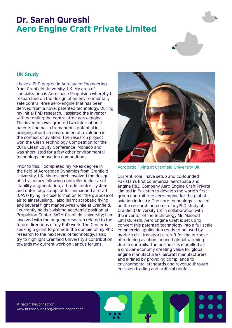### Dr. Sarah Qureshi Aero Engine Craft Private Limited



#### **UK Study**

I have a PhD degree in Aerospace Engineering from Cranfield University, UK. My area of specialization is Aerospace Propulsion whereby I researched on the design of an environmentally safe contrail-free aero-engine that has been derived from a novel patented technology. During my initial PhD research, I assisted the inventor with patenting the contrail-free aero-engine. The invention was granted two international patents and has a tremendous potential in bringing about an environmental revolution in the context of aviation. The research project won the Clean Technology Competition for the 2016 Clean Equity Conference, Monaco and was shortlisted for a few other environmental technology innovation competitions.

Prior to this, I completed my MRes degree in the field of Aerospace Dynamics from Cranfield University, UK. My research involved the design of a trajectory following controller inclusive of stability augmentation, attitude control system and outer loop autopilot for unmanned aircraft (UAVs) flying in close formation for the purpose of air to air refuelling. I also learnt acrobatic flying and several flight manoeuvres while at Cranfield. I currently holds a visiting academic position at Propulsion Center, SATM Cranfield University; I am involved with the ongoing research related to the future directions of my PhD work .The Center is seeking a grant to promote the domain of my PhD research to the next level of technology. I also try to highlight Cranfield University's contribution towards my current work on various forums.



Acrobatic Flying at Cranfield University UK

Current Role I have setup and co-founded Pakistan's first commercial aerospace and engine R&D Company Aero Engine Craft Private Limited in Pakistan to develop the world's first green contrail-free aero engine for the global aviation industry. The core technology is based on the research outcome of myPhD study at Cranfield University UK in collaboration with the inventor of the technology Mr. Masood Latif Qureshi. Aero Engine Craft is set up to convert this patented technology into a full scale commercial application ready to be used by modern civil transport aircraft for the purpose of reducing aviation induced global warming due to contrails. The business is modelled as a circular economy creating value for global engine manufacturers, aircraft manufacturers and airlines by providing compliance to environmental standards and revenue through emission trading and artificial rainfall.

#TheClimateConnection www.britishcouncil.org/climate-connection

.

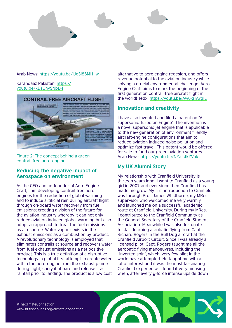

#### Arab News: https://youtu.be/IJeSI86MH\_w

#### Karandaaz Pakistan: https:// youtu.be/kDsUhySNbD4



Figure 2: The concept behind a green contrail-free aero-engine

#### **Reducing the negative impact of Aerospace on environment**

As the CEO and co-founder of Aero Engine Craft, I am developing contrail-free aeroengines for the reduction of global warming and to induce artificial rain during aircraft flight through on-board water recovery from fuel emissions; creating a vision of the future for the aviation industry whereby it can not only reduce aviation induced global warming but also adopt an approach to treat the fuel emissions as a resource. Water vapour exists in the exhaust emissions as a combustion by-product. A revolutionary technology is employed that eliminates contrails at source and recovers water from fuel exhaust emissions as a net positive product. This is a true definition of a disruptive technology; a global first attempt to create water within the aero-engine from the exhaust plume during flight, carry it aboard and release it as rainfall prior to landing. The product is a low cost alternative to aero engine redesign, and offers revenue potential to the aviation industry while solving a crucial environmental challenge. Aero Engine Craft aims to mark the beginning of the first generation contrail-free aircraft flight in the world! Tedx: https://youtu.be/Aw6xjTAYgIE

#### **Innovation and creativity**

I have also invented and filed a patent on "A supersonic Turbofan Engine". The invention is a novel supersonic jet engine that is applicable to the new generation of environment friendly aircraft-engine configurations that aim to reduce aviation induced noise pollution and optimize fast travel. This patent would be offered for sale to fund our green aviation ventures. Arab News: https://youtu.be/NZafcfkZVok

#### **My UK Alumni Story**

My relationship with Cranfield University is thirteen years long. I went to Cranfield as a young girl in 2007 and ever since then Cranfield has made me grow. My first introduction to Cranfield was through Prof. James Whidborne, my MRes supervisor who welcomed me very warmly and launched me on a successful academic route at Cranfield University. During my MRes, I contributed to the Cranfield Community as the General Secretary of the Cranfield Student Association. Meanwhile I was also fortunate to start learning acrobatic flying from Capt. Richard Rogers in the Bull Dog aircraft at the Cranfield Airport Circuit. Since I was already a licensed pilot, Capt. Rogers taught me all the aerobatic flying manoeuvres, including the "inverted spin", which, very few pilot in the world have attempted. He taught me with a lot of interest and it was the most fascinating Cranfield experience. I found it very amusing when, after every g-force intense upside down

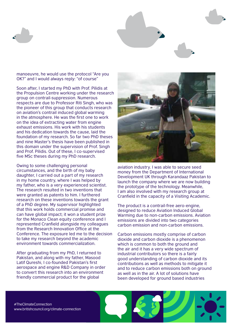



manoeuvre, he would use the protocol "Are you OK?" and I would always reply: "of course"

Soon after, I started my PhD with Prof. Pilidis at the Propulsion Centre working under the research group on contrail-suppression. Numerous respects are due to Professor Riti Singh, who was the pioneer of this group that conducts research on aviation's contrail induced global warming in the atmosphere. He was the first one to work on the idea of extracting water from engine exhaust emissions. His work with his students and his dedication towards the cause, laid the foundation of my research. So far two PhD theses and nine Master's thesis have been published in this domain under the supervision of Prof. Singh and Prof. Pilidis. Out of these, I co-supervised five MSc theses during my PhD research.

Owing to some challenging personal circumstances, and the birth of my baby daughter, I carried out a part of my research in my home country, where I was helped by my father, who is a very experienced scientist. The research resulted in two inventions that were granted as patents to him. I furthered research on these inventions towards the grant of a PhD degree. My supervisor highlighted that this work holds commercial promise and can have global impact; it won a student prize for the Monaco Clean equity conference and I represented Cranfield alongside my colleagues from the Research Innovation Office at the Conference. The exposure led me to the decision to take my research beyond the academic environment towards commercialization.

After graduating from my PhD, I returned to Pakistan, and along with my father, Masood Latif Qureshi, I co-founded Pakistan's first aerospace and engine R&D Company in order to convert this research into an environment friendly commercial product for the global



aviation industry. I was able to secure seed money from the Department of International Development UK through Karandaaz Pakistan to launch the company where we are now building the prototype of the technology. Meanwhile, I am also involved with my research group at Cranfield in the capacity of a Visiting Academic.

The product is a contrail-free aero-engine, designed to reduce Aviation Induced Global Warming due to non-carbon emissions. Aviation emissions are divided into two categories carbon emission and non-carbon emissions.

Carbon emissions mostly comprise of carbon dioxide and carbon dioxide is a phenomenon which is common to both the ground and the air and it has a very wide spectrum of industrial contributors so there is a fairly good understanding of carbon dioxide and its contributions as well as methods to mitigate it and to reduce carbon emissions both on ground as well as in the air. A lot of solutions have been developed for ground based industries

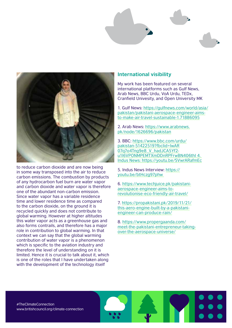

to reduce carbon dioxide and are now being in some way transposed into the air to reduce carbon emissions. The combustion by products of any hydrocarbon fuel burn are water vapor and carbon dioxide and water vapor is therefore one of the abundant non-carbon emission. Since water vapor has a variable residence time and lower residence time as compared to the carbon dioxide, on the ground it is recycled quickly and does not contribute to global warming. However at higher altitudes this water vapor acts as a greenhouse gas and also forms contrails, and therefore has a major role in contribution to global warming. In that context we can say that the global warming contribution of water vapor is a phenomenon which is specific to the aviation industry and therefore the level of understanding on it is limited. Hence it is crucial to talk about it, which is one of the roles that I have undertaken along with the development of the technology itself

#### **International visibility**

My work has been featured on several international platforms such as Gulf News, Arab News, BBC Urdu, VoA Urdu, TEDx, Cranfield Univesity, and Open University MK

1. Gulf News: https://gulfnews.com/world/asia/ pakistan/pakistani-aerospace-engineer-aimsto-make-air-travel-sustainable-1.71886095

2. Arab News: https://www.arabnews. pk/node/1626696/pakistan

3. BBC: https://www.bbc.com/urdu/ pakistan-51422519?fbclid=IwAR 07q7o4Tng9e8\_V\_hadJCA5Yf2 u1I6VPONMPEMTXmDDnRPFrwBN406thI 4. Indus News: https://youtu.be/SVwrARafmEc

5. Indus News Interview: https:// youtu.be/btHczg97phw

6. https://www.techjuice.pk/pakistaniaerospace-engineer-aims-torevolutionise-eco-friendly-air-travel/

7. https://propakistani.pk/2019/11/21/ this-aero-engine-built-by-a-pakistaniengineer-can-produce-rain/

8. https://www.propergaanda.com/ meet-the-pakistani-entrepreneur-takingover-the-aerospace-universe/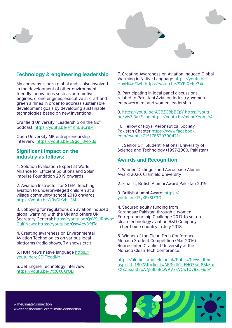



#### **Technology & engineering leadership**

My company is born global and is also involved in the development of other environment friendly innovations such as automotive engines, drone engines, executive aircraft and green airlines in order to address sustainable development goals by developing sustainable technologies based on new inventions

Cranfield University "Leadership on the Go" podcast: https://youtu.be/PfiKhUBCr9M

Open University MK entrepreneurship interview: https://youtu.be/L9gd\_8vFx3s

#### **Significant impact on the industry as follows:**

1. Solution Evaluation Expert at World Alliance for Efficient Solutions and Solar Impulse Foundation 2019 onwards

2. Aviation Instructor for STEM. teaching aviation to underprivileged children at a village community school 2018 onwards https://youtu.be/sRsGIKvb\_3M

3. Lobbying for regulations on aviation induced global warming with the UN and others UN Secretary General: https://youtu.be/QxV9LiRbWpY Gulf News: https://youtu.be/Osw4evDfdTg

4. Creating awareness on Environmental Aviation Technologies on various local platforms (radio shows, TV shows etc.)

5. HUM News native language https:// youtu.be/qCGiFlccdNY

6. Jet Engine Technology interview: https://youtu.be/7tx0X6XrQEI

7. Creating Awareness on Aviation Induced Global Warming in Native Language https://youtu.be/ HpxHf4oFlwU https://youtu.be/9YF-QcKe34c

8. Participating in local panel discussions related to Pakistani Aviation Industry, women empowerment and women leadership

9. https://youtu.be/AOBZO8bBCpY https://youtu. be/WsZi3azZ\_ng https://youtu.be/mLncXeoA\_Y4

10. Fellow of Royal Aeronautical Society Pakistan Chapter https://www.facebook. com/events/715178529300421/

11. Senior Girl Student: National University of Science and Technology (1997-2000, Pakistan)

#### **Awards and Recognition**

1. Winner, Distinguished Aerospace Alumni Award 2020, Cranfield University

2. Finalist, British Alumni Award Pakistan 2019

3. British Alumni Award: https:// youtu.be/JSyXRrStZ3Q

4. Secured equity funding from Karandaaz Pakistan through a Women Entrepreneurship Challenge 2017 to set up clean technology aviation R&D Company in her home country in July 2018.

5. Winner of the Clean Tech Conference Monaco Student Competition (Mar 2016). Represented Cranfield University at the Monaco Clean Tech Conference.

https://alumni.cranfield.ac.uk/Public/News\_Item. aspx?Id=1807&fbclid=IwAR3sdh1\_FHQ76d-85k5m kXxZpaaSf2pA7jkBL6BcWVV7EVCw1Qv9zJFiueY